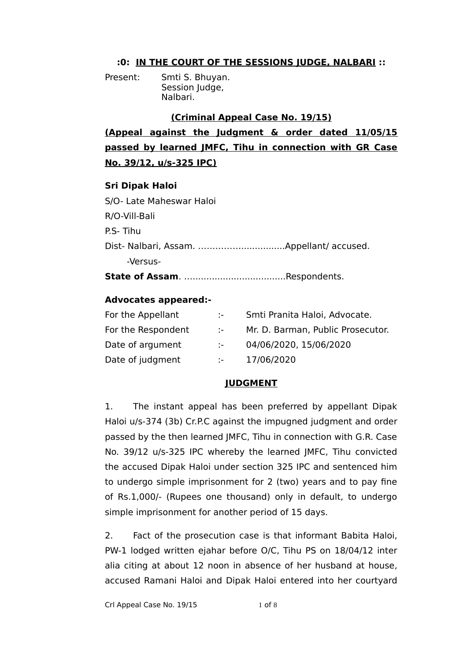### **:0: IN THE COURT OF THE SESSIONS JUDGE, NALBARI ::**

Present: Smti S. Bhuyan. Session Judge, Nalbari.

#### **(Criminal Appeal Case No. 19/15)**

**(Appeal against the Judgment & order dated 11/05/15 passed by learned JMFC, Tihu in connection with GR Case No. 39/12, u/s-325 IPC)**

#### **Sri Dipak Haloi**

S/O- Late Maheswar Haloi R/O-Vill-Bali P.S- Tihu Dist- Nalbari, Assam. ……………................Appellant/ accused. -Versus-**State of Assam**. …..................................Respondents.

## **Advocates appeared:-**

| For the Appellant  | iden i            | Smti Pranita Haloi, Advocate.     |
|--------------------|-------------------|-----------------------------------|
| For the Respondent | $\sim$            | Mr. D. Barman, Public Prosecutor. |
| Date of argument   | $\mathcal{L} = 0$ | 04/06/2020, 15/06/2020            |
| Date of judgment   | <b>Service</b>    | 17/06/2020                        |

# **JUDGMENT**

1. The instant appeal has been preferred by appellant Dipak Haloi u/s-374 (3b) Cr.P.C against the impugned judgment and order passed by the then learned JMFC, Tihu in connection with G.R. Case No. 39/12 u/s-325 IPC whereby the learned JMFC, Tihu convicted the accused Dipak Haloi under section 325 IPC and sentenced him to undergo simple imprisonment for 2 (two) years and to pay fine of Rs.1,000/- (Rupees one thousand) only in default, to undergo simple imprisonment for another period of 15 days.

2. Fact of the prosecution case is that informant Babita Haloi, PW-1 lodged written ejahar before O/C, Tihu PS on 18/04/12 inter alia citing at about 12 noon in absence of her husband at house, accused Ramani Haloi and Dipak Haloi entered into her courtyard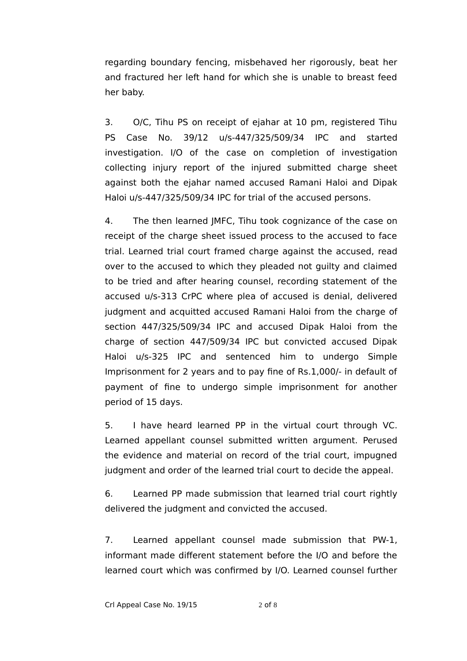regarding boundary fencing, misbehaved her rigorously, beat her and fractured her left hand for which she is unable to breast feed her baby.

3. O/C, Tihu PS on receipt of ejahar at 10 pm, registered Tihu PS Case No. 39/12 u/s-447/325/509/34 IPC and started investigation. I/O of the case on completion of investigation collecting injury report of the injured submitted charge sheet against both the ejahar named accused Ramani Haloi and Dipak Haloi u/s-447/325/509/34 IPC for trial of the accused persons.

4. The then learned JMFC, Tihu took cognizance of the case on receipt of the charge sheet issued process to the accused to face trial. Learned trial court framed charge against the accused, read over to the accused to which they pleaded not guilty and claimed to be tried and after hearing counsel, recording statement of the accused u/s-313 CrPC where plea of accused is denial, delivered judgment and acquitted accused Ramani Haloi from the charge of section 447/325/509/34 IPC and accused Dipak Haloi from the charge of section 447/509/34 IPC but convicted accused Dipak Haloi u/s-325 IPC and sentenced him to undergo Simple Imprisonment for 2 years and to pay fine of Rs.1,000/- in default of payment of fine to undergo simple imprisonment for another period of 15 days.

5. I have heard learned PP in the virtual court through VC. Learned appellant counsel submitted written argument. Perused the evidence and material on record of the trial court, impugned judgment and order of the learned trial court to decide the appeal.

6. Learned PP made submission that learned trial court rightly delivered the judgment and convicted the accused.

7. Learned appellant counsel made submission that PW-1, informant made different statement before the I/O and before the learned court which was confirmed by I/O. Learned counsel further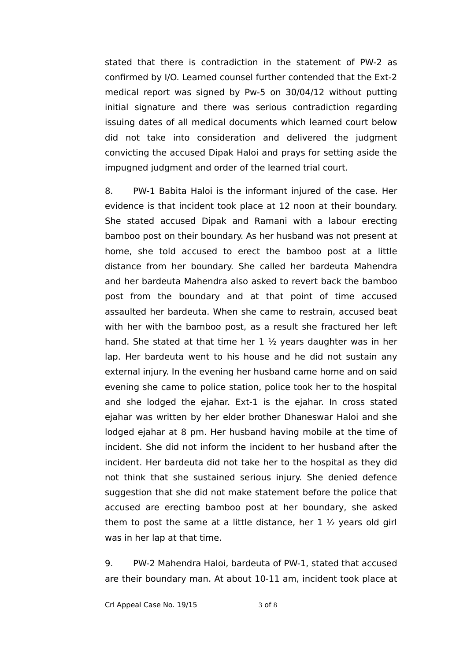stated that there is contradiction in the statement of PW-2 as confirmed by I/O. Learned counsel further contended that the Ext-2 medical report was signed by Pw-5 on 30/04/12 without putting initial signature and there was serious contradiction regarding issuing dates of all medical documents which learned court below did not take into consideration and delivered the judgment convicting the accused Dipak Haloi and prays for setting aside the impugned judgment and order of the learned trial court.

8. PW-1 Babita Haloi is the informant injured of the case. Her evidence is that incident took place at 12 noon at their boundary. She stated accused Dipak and Ramani with a labour erecting bamboo post on their boundary. As her husband was not present at home, she told accused to erect the bamboo post at a little distance from her boundary. She called her bardeuta Mahendra and her bardeuta Mahendra also asked to revert back the bamboo post from the boundary and at that point of time accused assaulted her bardeuta. When she came to restrain, accused beat with her with the bamboo post, as a result she fractured her left hand. She stated at that time her 1 ½ years daughter was in her lap. Her bardeuta went to his house and he did not sustain any external injury. In the evening her husband came home and on said evening she came to police station, police took her to the hospital and she lodged the ejahar. Ext-1 is the ejahar. In cross stated ejahar was written by her elder brother Dhaneswar Haloi and she lodged ejahar at 8 pm. Her husband having mobile at the time of incident. She did not inform the incident to her husband after the incident. Her bardeuta did not take her to the hospital as they did not think that she sustained serious injury. She denied defence suggestion that she did not make statement before the police that accused are erecting bamboo post at her boundary, she asked them to post the same at a little distance, her  $1 \frac{1}{2}$  years old girl was in her lap at that time.

9. PW-2 Mahendra Haloi, bardeuta of PW-1, stated that accused are their boundary man. At about 10-11 am, incident took place at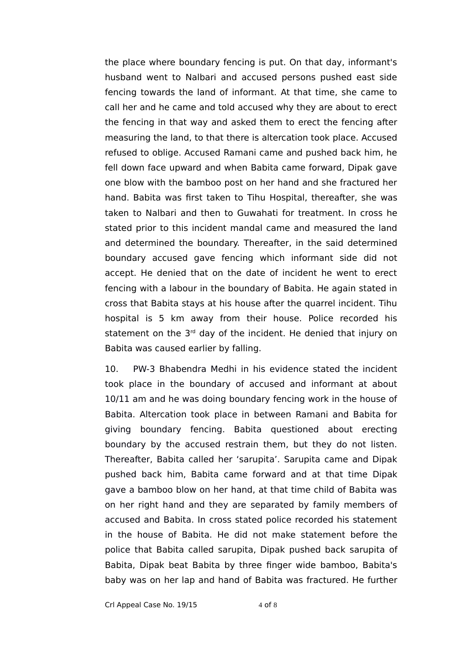the place where boundary fencing is put. On that day, informant's husband went to Nalbari and accused persons pushed east side fencing towards the land of informant. At that time, she came to call her and he came and told accused why they are about to erect the fencing in that way and asked them to erect the fencing after measuring the land, to that there is altercation took place. Accused refused to oblige. Accused Ramani came and pushed back him, he fell down face upward and when Babita came forward, Dipak gave one blow with the bamboo post on her hand and she fractured her hand. Babita was first taken to Tihu Hospital, thereafter, she was taken to Nalbari and then to Guwahati for treatment. In cross he stated prior to this incident mandal came and measured the land and determined the boundary. Thereafter, in the said determined boundary accused gave fencing which informant side did not accept. He denied that on the date of incident he went to erect fencing with a labour in the boundary of Babita. He again stated in cross that Babita stays at his house after the quarrel incident. Tihu hospital is 5 km away from their house. Police recorded his statement on the  $3<sup>rd</sup>$  day of the incident. He denied that injury on Babita was caused earlier by falling.

10. PW-3 Bhabendra Medhi in his evidence stated the incident took place in the boundary of accused and informant at about 10/11 am and he was doing boundary fencing work in the house of Babita. Altercation took place in between Ramani and Babita for giving boundary fencing. Babita questioned about erecting boundary by the accused restrain them, but they do not listen. Thereafter, Babita called her 'sarupita'. Sarupita came and Dipak pushed back him, Babita came forward and at that time Dipak gave a bamboo blow on her hand, at that time child of Babita was on her right hand and they are separated by family members of accused and Babita. In cross stated police recorded his statement in the house of Babita. He did not make statement before the police that Babita called sarupita, Dipak pushed back sarupita of Babita, Dipak beat Babita by three finger wide bamboo, Babita's baby was on her lap and hand of Babita was fractured. He further

Crl Appeal Case No. 19/15 4 of 8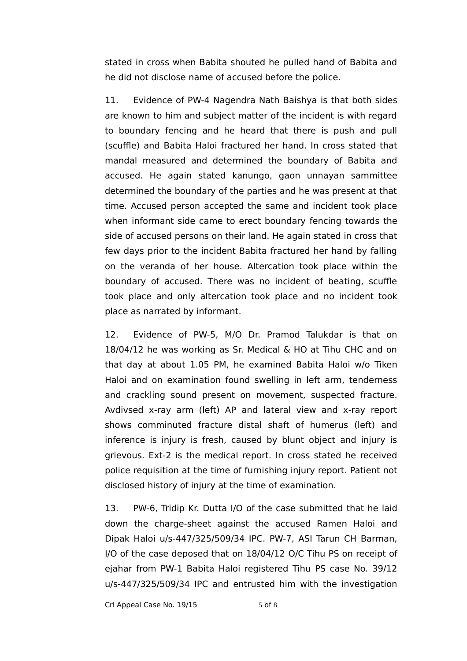stated in cross when Babita shouted he pulled hand of Babita and he did not disclose name of accused before the police.

11. Evidence of PW-4 Nagendra Nath Baishya is that both sides are known to him and subject matter of the incident is with regard to boundary fencing and he heard that there is push and pull (scuffle) and Babita Haloi fractured her hand. In cross stated that mandal measured and determined the boundary of Babita and accused. He again stated kanungo, gaon unnayan sammittee determined the boundary of the parties and he was present at that time. Accused person accepted the same and incident took place when informant side came to erect boundary fencing towards the side of accused persons on their land. He again stated in cross that few days prior to the incident Babita fractured her hand by falling on the veranda of her house. Altercation took place within the boundary of accused. There was no incident of beating, scuffle took place and only altercation took place and no incident took place as narrated by informant.

12. Evidence of PW-5, M/O Dr. Pramod Talukdar is that on 18/04/12 he was working as Sr. Medical & HO at Tihu CHC and on that day at about 1.05 PM, he examined Babita Haloi w/o Tiken Haloi and on examination found swelling in left arm, tenderness and crackling sound present on movement, suspected fracture. Avdivsed x-ray arm (left) AP and lateral view and x-ray report shows comminuted fracture distal shaft of humerus (left) and inference is injury is fresh, caused by blunt object and injury is grievous. Ext-2 is the medical report. In cross stated he received police requisition at the time of furnishing injury report. Patient not disclosed history of injury at the time of examination.

13. PW-6, Tridip Kr. Dutta I/O of the case submitted that he laid down the charge-sheet against the accused Ramen Haloi and Dipak Haloi u/s-447/325/509/34 IPC. PW-7, ASI Tarun CH Barman, I/O of the case deposed that on 18/04/12 O/C Tihu PS on receipt of ejahar from PW-1 Babita Haloi registered Tihu PS case No. 39/12 u/s-447/325/509/34 IPC and entrusted him with the investigation

Crl Appeal Case No.  $19/15$  5 of 8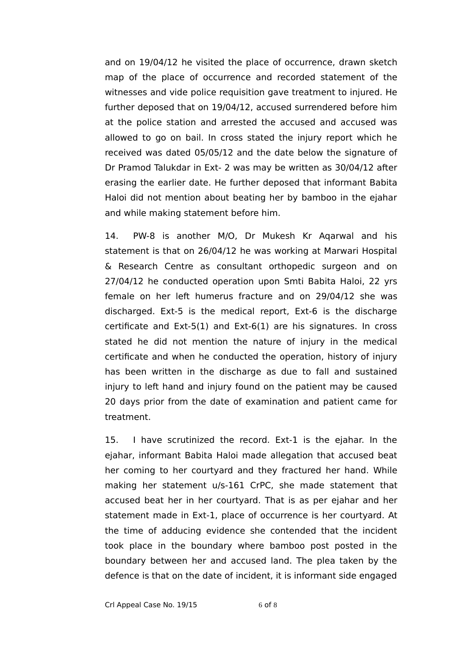and on 19/04/12 he visited the place of occurrence, drawn sketch map of the place of occurrence and recorded statement of the witnesses and vide police requisition gave treatment to injured. He further deposed that on 19/04/12, accused surrendered before him at the police station and arrested the accused and accused was allowed to go on bail. In cross stated the injury report which he received was dated 05/05/12 and the date below the signature of Dr Pramod Talukdar in Ext- 2 was may be written as 30/04/12 after erasing the earlier date. He further deposed that informant Babita Haloi did not mention about beating her by bamboo in the ejahar and while making statement before him.

14. PW-8 is another M/O, Dr Mukesh Kr Aqarwal and his statement is that on 26/04/12 he was working at Marwari Hospital & Research Centre as consultant orthopedic surgeon and on 27/04/12 he conducted operation upon Smti Babita Haloi, 22 yrs female on her left humerus fracture and on 29/04/12 she was discharged. Ext-5 is the medical report, Ext-6 is the discharge certificate and Ext-5(1) and Ext-6(1) are his signatures. In cross stated he did not mention the nature of injury in the medical certificate and when he conducted the operation, history of injury has been written in the discharge as due to fall and sustained injury to left hand and injury found on the patient may be caused 20 days prior from the date of examination and patient came for treatment.

15. I have scrutinized the record. Ext-1 is the ejahar. In the ejahar, informant Babita Haloi made allegation that accused beat her coming to her courtyard and they fractured her hand. While making her statement u/s-161 CrPC, she made statement that accused beat her in her courtyard. That is as per ejahar and her statement made in Ext-1, place of occurrence is her courtyard. At the time of adducing evidence she contended that the incident took place in the boundary where bamboo post posted in the boundary between her and accused land. The plea taken by the defence is that on the date of incident, it is informant side engaged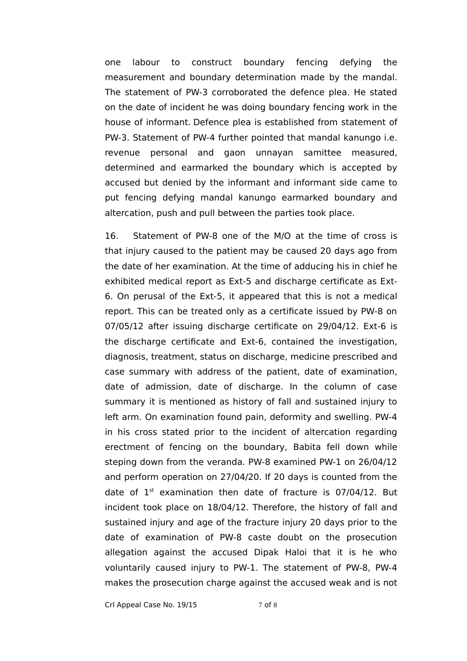one labour to construct boundary fencing defying the measurement and boundary determination made by the mandal. The statement of PW-3 corroborated the defence plea. He stated on the date of incident he was doing boundary fencing work in the house of informant. Defence plea is established from statement of PW-3. Statement of PW-4 further pointed that mandal kanungo i.e. revenue personal and gaon unnayan samittee measured, determined and earmarked the boundary which is accepted by accused but denied by the informant and informant side came to put fencing defying mandal kanungo earmarked boundary and altercation, push and pull between the parties took place.

16. Statement of PW-8 one of the M/O at the time of cross is that injury caused to the patient may be caused 20 days ago from the date of her examination. At the time of adducing his in chief he exhibited medical report as Ext-5 and discharge certificate as Ext-6. On perusal of the Ext-5, it appeared that this is not a medical report. This can be treated only as a certificate issued by PW-8 on 07/05/12 after issuing discharge certificate on 29/04/12. Ext-6 is the discharge certificate and Ext-6, contained the investigation, diagnosis, treatment, status on discharge, medicine prescribed and case summary with address of the patient, date of examination, date of admission, date of discharge. In the column of case summary it is mentioned as history of fall and sustained injury to left arm. On examination found pain, deformity and swelling. PW-4 in his cross stated prior to the incident of altercation regarding erectment of fencing on the boundary, Babita fell down while steping down from the veranda. PW-8 examined PW-1 on 26/04/12 and perform operation on 27/04/20. If 20 days is counted from the date of  $1^{st}$  examination then date of fracture is 07/04/12. But incident took place on 18/04/12. Therefore, the history of fall and sustained injury and age of the fracture injury 20 days prior to the date of examination of PW-8 caste doubt on the prosecution allegation against the accused Dipak Haloi that it is he who voluntarily caused injury to PW-1. The statement of PW-8, PW-4 makes the prosecution charge against the accused weak and is not

Crl Appeal Case No. 19/15 7 of 8